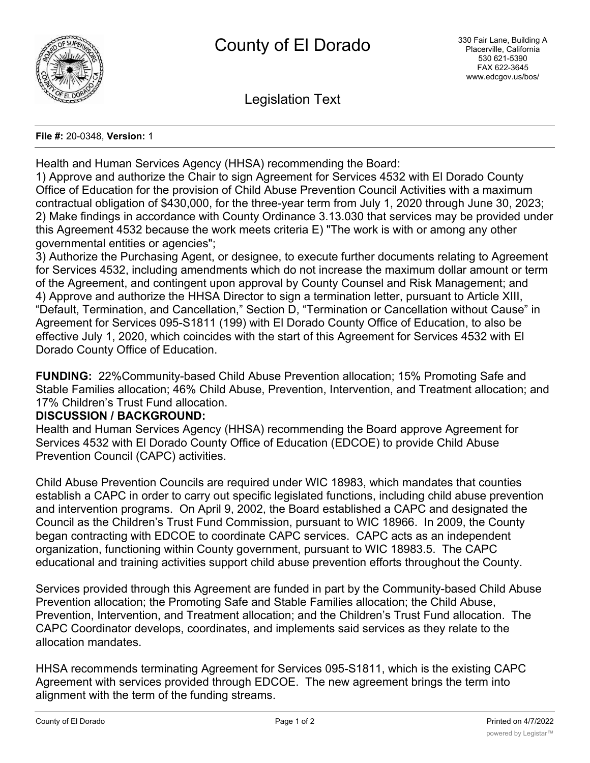

Legislation Text

#### **File #:** 20-0348, **Version:** 1

Health and Human Services Agency (HHSA) recommending the Board:

1) Approve and authorize the Chair to sign Agreement for Services 4532 with El Dorado County Office of Education for the provision of Child Abuse Prevention Council Activities with a maximum contractual obligation of \$430,000, for the three-year term from July 1, 2020 through June 30, 2023; 2) Make findings in accordance with County Ordinance 3.13.030 that services may be provided under this Agreement 4532 because the work meets criteria E) "The work is with or among any other governmental entities or agencies";

3) Authorize the Purchasing Agent, or designee, to execute further documents relating to Agreement for Services 4532, including amendments which do not increase the maximum dollar amount or term of the Agreement, and contingent upon approval by County Counsel and Risk Management; and 4) Approve and authorize the HHSA Director to sign a termination letter, pursuant to Article XIII, "Default, Termination, and Cancellation," Section D, "Termination or Cancellation without Cause" in Agreement for Services 095-S1811 (199) with El Dorado County Office of Education, to also be effective July 1, 2020, which coincides with the start of this Agreement for Services 4532 with El Dorado County Office of Education.

**FUNDING:** 22%Community-based Child Abuse Prevention allocation; 15% Promoting Safe and Stable Families allocation; 46% Child Abuse, Prevention, Intervention, and Treatment allocation; and 17% Children's Trust Fund allocation.

### **DISCUSSION / BACKGROUND:**

Health and Human Services Agency (HHSA) recommending the Board approve Agreement for Services 4532 with El Dorado County Office of Education (EDCOE) to provide Child Abuse Prevention Council (CAPC) activities.

Child Abuse Prevention Councils are required under WIC 18983, which mandates that counties establish a CAPC in order to carry out specific legislated functions, including child abuse prevention and intervention programs. On April 9, 2002, the Board established a CAPC and designated the Council as the Children's Trust Fund Commission, pursuant to WIC 18966. In 2009, the County began contracting with EDCOE to coordinate CAPC services. CAPC acts as an independent organization, functioning within County government, pursuant to WIC 18983.5. The CAPC educational and training activities support child abuse prevention efforts throughout the County.

Services provided through this Agreement are funded in part by the Community-based Child Abuse Prevention allocation; the Promoting Safe and Stable Families allocation; the Child Abuse, Prevention, Intervention, and Treatment allocation; and the Children's Trust Fund allocation. The CAPC Coordinator develops, coordinates, and implements said services as they relate to the allocation mandates.

HHSA recommends terminating Agreement for Services 095-S1811, which is the existing CAPC Agreement with services provided through EDCOE. The new agreement brings the term into alignment with the term of the funding streams.